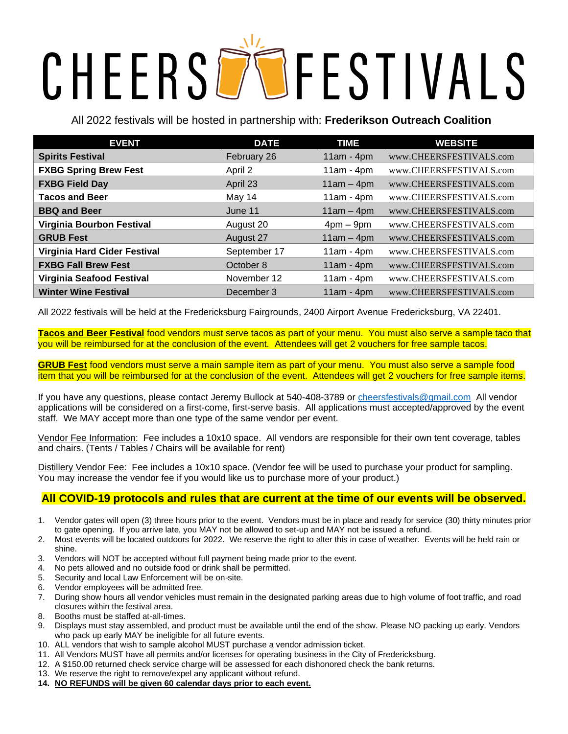# CHEERSDOFESTIVALS

All 2022 festivals will be hosted in partnership with: **Frederikson Outreach Coalition**

| <b>EVENT</b>                     | <b>DATE</b>  | <b>TIME</b>  | <b>WEBSITE</b>          |
|----------------------------------|--------------|--------------|-------------------------|
| <b>Spirits Festival</b>          | February 26  | $11am - 4pm$ | www.CHEERSFESTIVALS.com |
| <b>FXBG Spring Brew Fest</b>     | April 2      | $11am - 4pm$ | www.CHEERSFESTIVALS.com |
| <b>FXBG Field Day</b>            | April 23     | $11am - 4pm$ | www.CHEERSFESTIVALS.com |
| <b>Tacos and Beer</b>            | May 14       | $11am - 4pm$ | www.CHEERSFESTIVALS.com |
| <b>BBQ and Beer</b>              | June 11      | $11am - 4pm$ | www.CHEERSFESTIVALS.com |
| <b>Virginia Bourbon Festival</b> | August 20    | $4pm - 9pm$  | www.CHEERSFESTIVALS.com |
| <b>GRUB Fest</b>                 | August 27    | $11am - 4pm$ | www.CHEERSFESTIVALS.com |
| Virginia Hard Cider Festival     | September 17 | $11am - 4pm$ | www.CHEERSFESTIVALS.com |
| <b>FXBG Fall Brew Fest</b>       | October 8    | $11am - 4pm$ | www.CHEERSFESTIVALS.com |
| Virginia Seafood Festival        | November 12  | $11am - 4pm$ | www.CHEERSFESTIVALS.com |
| <b>Winter Wine Festival</b>      | December 3   | $11am - 4pm$ | www.CHEERSFESTIVALS.com |

All 2022 festivals will be held at the Fredericksburg Fairgrounds, 2400 Airport Avenue Fredericksburg, VA 22401.

**Tacos and Beer Festival** food vendors must serve tacos as part of your menu. You must also serve a sample taco that you will be reimbursed for at the conclusion of the event. Attendees will get 2 vouchers for free sample tacos.

**GRUB Fest** food vendors must serve a main sample item as part of your menu. You must also serve a sample food item that you will be reimbursed for at the conclusion of the event. Attendees will get 2 vouchers for free sample items.

If you have any questions, please contact Jeremy Bullock at 540-408-3789 o[r cheersfestivals@gmail.com](mailto:cheersfestivals@gmail.com) All vendor applications will be considered on a first-come, first-serve basis. All applications must accepted/approved by the event staff. We MAY accept more than one type of the same vendor per event.

Vendor Fee Information: Fee includes a 10x10 space. All vendors are responsible for their own tent coverage, tables and chairs. (Tents / Tables / Chairs will be available for rent)

Distillery Vendor Fee: Fee includes a 10x10 space. (Vendor fee will be used to purchase your product for sampling. You may increase the vendor fee if you would like us to purchase more of your product.)

### **All COVID-19 protocols and rules that are current at the time of our events will be observed.**

- 1. Vendor gates will open (3) three hours prior to the event. Vendors must be in place and ready for service (30) thirty minutes prior to gate opening. If you arrive late, you MAY not be allowed to set-up and MAY not be issued a refund.
- 2. Most events will be located outdoors for 2022. We reserve the right to alter this in case of weather. Events will be held rain or shine.
- 3. Vendors will NOT be accepted without full payment being made prior to the event.
- 4. No pets allowed and no outside food or drink shall be permitted.
- 5. Security and local Law Enforcement will be on-site.
- 6. Vendor employees will be admitted free.
- 7. During show hours all vendor vehicles must remain in the designated parking areas due to high volume of foot traffic, and road closures within the festival area.
- 8. Booths must be staffed at-all-times.
- 9. Displays must stay assembled, and product must be available until the end of the show. Please NO packing up early. Vendors who pack up early MAY be ineligible for all future events.
- 10. ALL vendors that wish to sample alcohol MUST purchase a vendor admission ticket.
- 11. All Vendors MUST have all permits and/or licenses for operating business in the City of Fredericksburg.
- 12. A \$150.00 returned check service charge will be assessed for each dishonored check the bank returns.
- 13. We reserve the right to remove/expel any applicant without refund.
- **14. NO REFUNDS will be given 60 calendar days prior to each event.**